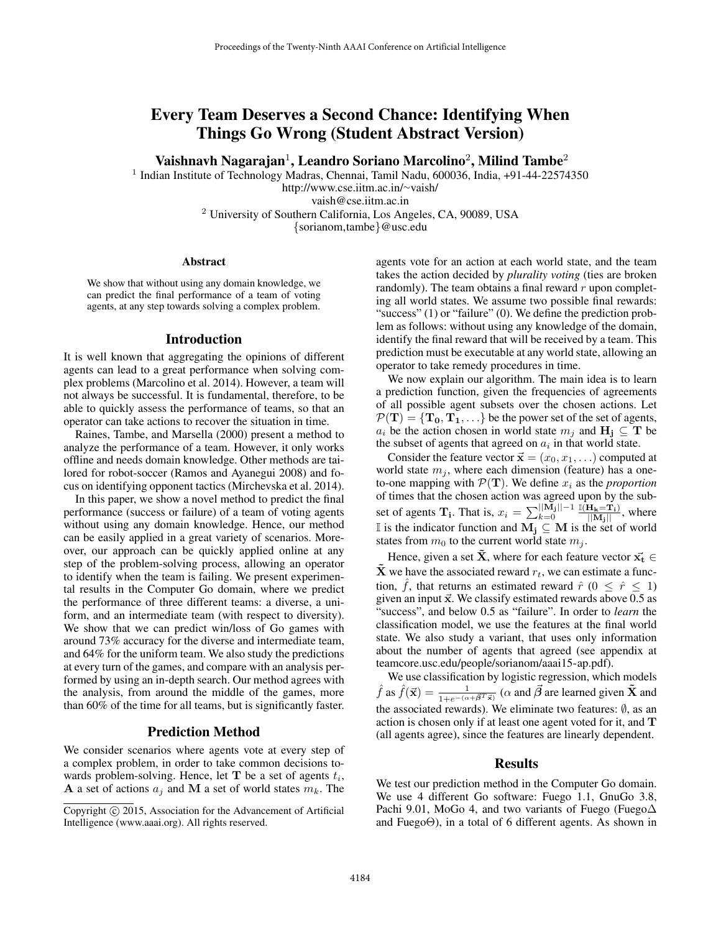# Every Team Deserves a Second Chance: Identifying When Things Go Wrong (Student Abstract Version)

Vaishnavh Nagarajan<sup>1</sup>, Leandro Soriano Marcolino<sup>2</sup>, Milind Tambe<sup>2</sup>

<sup>1</sup> Indian Institute of Technology Madras, Chennai, Tamil Nadu, 600036, India, +91-44-22574350 http://www.cse.iitm.ac.in/<sup>∼</sup>vaish/

vaish@cse.iitm.ac.in

<sup>2</sup> University of Southern California, Los Angeles, CA, 90089, USA

{sorianom,tambe}@usc.edu

#### Abstract

We show that without using any domain knowledge, we can predict the final performance of a team of voting agents, at any step towards solving a complex problem.

## Introduction

It is well known that aggregating the opinions of different agents can lead to a great performance when solving complex problems (Marcolino et al. 2014). However, a team will not always be successful. It is fundamental, therefore, to be able to quickly assess the performance of teams, so that an operator can take actions to recover the situation in time.

Raines, Tambe, and Marsella (2000) present a method to analyze the performance of a team. However, it only works offline and needs domain knowledge. Other methods are tailored for robot-soccer (Ramos and Ayanegui 2008) and focus on identifying opponent tactics (Mirchevska et al. 2014).

In this paper, we show a novel method to predict the final performance (success or failure) of a team of voting agents without using any domain knowledge. Hence, our method can be easily applied in a great variety of scenarios. Moreover, our approach can be quickly applied online at any step of the problem-solving process, allowing an operator to identify when the team is failing. We present experimental results in the Computer Go domain, where we predict the performance of three different teams: a diverse, a uniform, and an intermediate team (with respect to diversity). We show that we can predict win/loss of Go games with around 73% accuracy for the diverse and intermediate team, and 64% for the uniform team. We also study the predictions at every turn of the games, and compare with an analysis performed by using an in-depth search. Our method agrees with the analysis, from around the middle of the games, more than 60% of the time for all teams, but is significantly faster.

## Prediction Method

We consider scenarios where agents vote at every step of a complex problem, in order to take common decisions towards problem-solving. Hence, let  $T$  be a set of agents  $t_i$ , A a set of actions  $a_i$  and M a set of world states  $m_k$ . The

agents vote for an action at each world state, and the team takes the action decided by *plurality voting* (ties are broken randomly). The team obtains a final reward  $r$  upon completing all world states. We assume two possible final rewards: "success" (1) or "failure" (0). We define the prediction problem as follows: without using any knowledge of the domain, identify the final reward that will be received by a team. This prediction must be executable at any world state, allowing an operator to take remedy procedures in time.

We now explain our algorithm. The main idea is to learn a prediction function, given the frequencies of agreements of all possible agent subsets over the chosen actions. Let  $P(T) = {T_0, T_1, \ldots}$  be the power set of the set of agents,  $a_i$  be the action chosen in world state  $m_i$  and  $H_i \subseteq T$  be the subset of agents that agreed on  $a_i$  in that world state.

Consider the feature vector  $\vec{x} = (x_0, x_1, \ldots)$  computed at world state  $m_i$ , where each dimension (feature) has a oneto-one mapping with  $\mathcal{P}(\mathbf{T})$ . We define  $x_i$  as the *proportion* of times that the chosen action was agreed upon by the subset of agents  $\mathbf{T_i}$ . That is,  $x_i = \sum_{k=0}^{\vert\vert \tilde{\mathbf{M}_j} \vert\vert - 1} \frac{\mathbb{I}(\mathbf{H_k} = \mathbf{T_i})}{\vert\vert \mathbf{M_j} \vert\vert}$ , where If is the indicator function and  $M_j$  ⊆ M is the set of world states from  $m_0$  to the current world state  $m_j$ .

Hence, given a set  $\tilde{\mathbf{X}}$ , where for each feature vector  $\vec{\mathbf{x}_t} \in \mathbb{R}$  $\bar{\mathbf{X}}$  we have the associated reward  $r_t$ , we can estimate a function,  $\hat{f}$ , that returns an estimated reward  $\hat{r}$  ( $0 \leq \hat{r} \leq 1$ ) given an input  $\vec{x}$ . We classify estimated rewards above 0.5 as "success", and below 0.5 as "failure". In order to *learn* the classification model, we use the features at the final world state. We also study a variant, that uses only information about the number of agents that agreed (see appendix at teamcore.usc.edu/people/sorianom/aaai15-ap.pdf).

We use classification by logistic regression, which models  $\hat{f}$  as  $\hat{f}(\vec{x}) = \frac{1}{1+e^{-(\alpha+\vec{\beta}T\vec{x})}}$  ( $\alpha$  and  $\vec{\beta}$  are learned given  $\tilde{\mathbf{X}}$  and the associated rewards). We eliminate two features:  $\emptyset$ , as an action is chosen only if at least one agent voted for it, and T (all agents agree), since the features are linearly dependent.

## Results

We test our prediction method in the Computer Go domain. We use 4 different Go software: Fuego 1.1, GnuGo 3.8, Pachi 9.01, MoGo 4, and two variants of Fuego (Fuego $\Delta$ and FuegoΘ), in a total of 6 different agents. As shown in

Copyright © 2015, Association for the Advancement of Artificial Intelligence (www.aaai.org). All rights reserved.